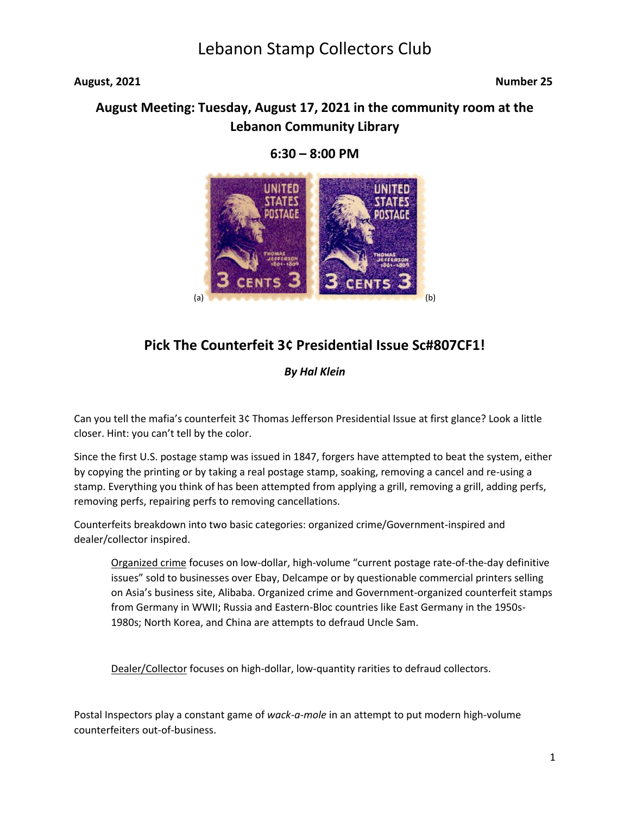### August, 2021 **Number 25**

## **August Meeting: Tuesday, August 17, 2021 in the community room at the Lebanon Community Library**



### **6:30 – 8:00 PM**

## **Pick The Counterfeit 3¢ Presidential Issue Sc#807CF1!**

### *By Hal Klein*

Can you tell the mafia's counterfeit 3¢ Thomas Jefferson Presidential Issue at first glance? Look a little closer. Hint: you can't tell by the color.

Since the first U.S. postage stamp was issued in 1847, forgers have attempted to beat the system, either by copying the printing or by taking a real postage stamp, soaking, removing a cancel and re-using a stamp. Everything you think of has been attempted from applying a grill, removing a grill, adding perfs, removing perfs, repairing perfs to removing cancellations.

Counterfeits breakdown into two basic categories: organized crime/Government-inspired and dealer/collector inspired.

Organized crime focuses on low-dollar, high-volume "current postage rate-of-the-day definitive issues" sold to businesses over Ebay, Delcampe or by questionable commercial printers selling on Asia's business site, Alibaba. Organized crime and Government-organized counterfeit stamps from Germany in WWII; Russia and Eastern-Bloc countries like East Germany in the 1950s-1980s; North Korea, and China are attempts to defraud Uncle Sam.

Dealer/Collector focuses on high-dollar, low-quantity rarities to defraud collectors.

Postal Inspectors play a constant game of *wack-a-mole* in an attempt to put modern high-volume counterfeiters out-of-business.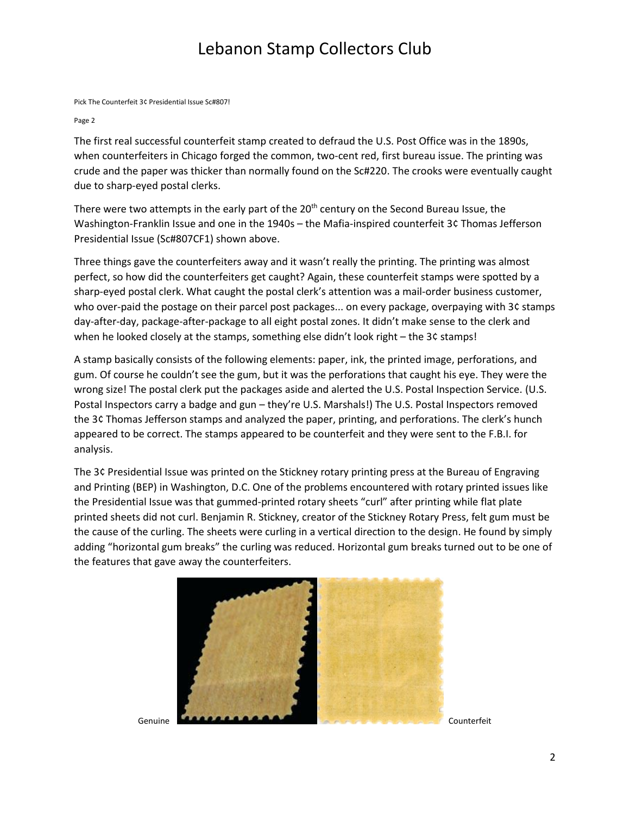Pick The Counterfeit 3¢ Presidential Issue Sc#807!

#### Page 2

The first real successful counterfeit stamp created to defraud the U.S. Post Office was in the 1890s, when counterfeiters in Chicago forged the common, two-cent red, first bureau issue. The printing was crude and the paper was thicker than normally found on the Sc#220. The crooks were eventually caught due to sharp-eyed postal clerks.

There were two attempts in the early part of the  $20<sup>th</sup>$  century on the Second Bureau Issue, the Washington-Franklin Issue and one in the 1940s – the Mafia-inspired counterfeit 3¢ Thomas Jefferson Presidential Issue (Sc#807CF1) shown above.

Three things gave the counterfeiters away and it wasn't really the printing. The printing was almost perfect, so how did the counterfeiters get caught? Again, these counterfeit stamps were spotted by a sharp-eyed postal clerk. What caught the postal clerk's attention was a mail-order business customer, who over-paid the postage on their parcel post packages... on every package, overpaying with 3¢ stamps day-after-day, package-after-package to all eight postal zones. It didn't make sense to the clerk and when he looked closely at the stamps, something else didn't look right – the 3¢ stamps!

A stamp basically consists of the following elements: paper, ink, the printed image, perforations, and gum. Of course he couldn't see the gum, but it was the perforations that caught his eye. They were the wrong size! The postal clerk put the packages aside and alerted the U.S. Postal Inspection Service. (U.S. Postal Inspectors carry a badge and gun – they're U.S. Marshals!) The U.S. Postal Inspectors removed the 3¢ Thomas Jefferson stamps and analyzed the paper, printing, and perforations. The clerk's hunch appeared to be correct. The stamps appeared to be counterfeit and they were sent to the F.B.I. for analysis.

The 3¢ Presidential Issue was printed on the Stickney rotary printing press at the Bureau of Engraving and Printing (BEP) in Washington, D.C. One of the problems encountered with rotary printed issues like the Presidential Issue was that gummed-printed rotary sheets "curl" after printing while flat plate printed sheets did not curl. Benjamin R. Stickney, creator of the Stickney Rotary Press, felt gum must be the cause of the curling. The sheets were curling in a vertical direction to the design. He found by simply adding "horizontal gum breaks" the curling was reduced. Horizontal gum breaks turned out to be one of the features that gave away the counterfeiters.

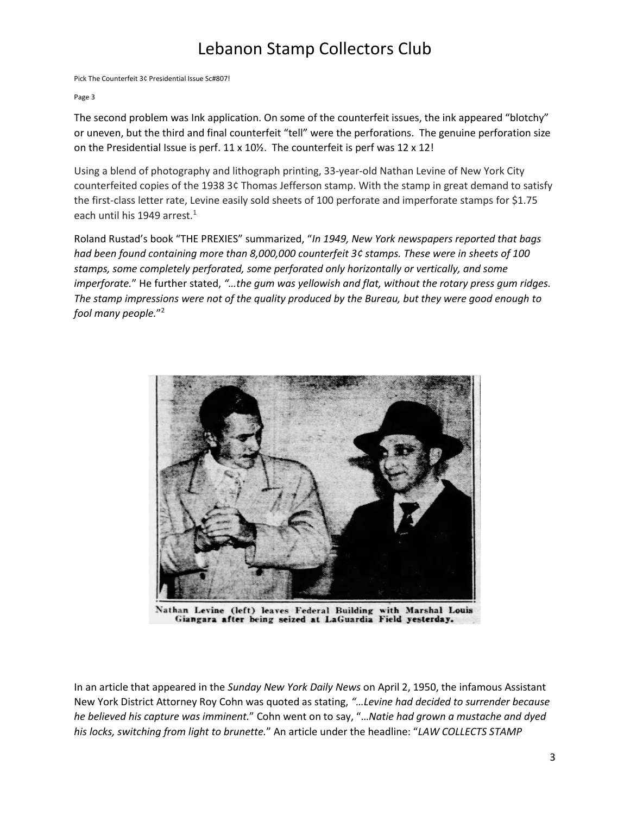Pick The Counterfeit 3¢ Presidential Issue Sc#807!

#### Page 3

The second problem was Ink application. On some of the counterfeit issues, the ink appeared "blotchy" or uneven, but the third and final counterfeit "tell" were the perforations. The genuine perforation size on the Presidential Issue is perf. 11 x 10½. The counterfeit is perf was 12 x 12!

Using a blend of photography and lithograph printing, 33-year-old Nathan Levine of New York City counterfeited copies of the 1938 3¢ Thomas Jefferson stamp. With the stamp in great demand to satisfy the first-class letter rate, Levine easily sold sheets of 100 perforate and imperforate stamps for \$1.75 each until his 1949 arrest. $1$ 

Roland Rustad's book "THE PREXIES" summarized, "*In 1949, New York newspapers reported that bags had been found containing more than 8,000,000 counterfeit 3¢ stamps. These were in sheets of 100 stamps, some completely perforated, some perforated only horizontally or vertically, and some imperforate.*" He further stated, *"…the gum was yellowish and flat, without the rotary press gum ridges. The stamp impressions were not of the quality produced by the Bureau, but they were good enough to fool many people.*" 2



Nathan Levine (left) leaves Federal Building with Marshal Louis Giangara after being seized at LaGuardia Field yesterday.

In an article that appeared in the *Sunday New York Daily News* on April 2, 1950, the infamous Assistant New York District Attorney Roy Cohn was quoted as stating, *"…Levine had decided to surrender because he believed his capture was imminent.*" Cohn went on to say, "…*Natie had grown a mustache and dyed his locks, switching from light to brunette.*" An article under the headline: "*LAW COLLECTS STAMP*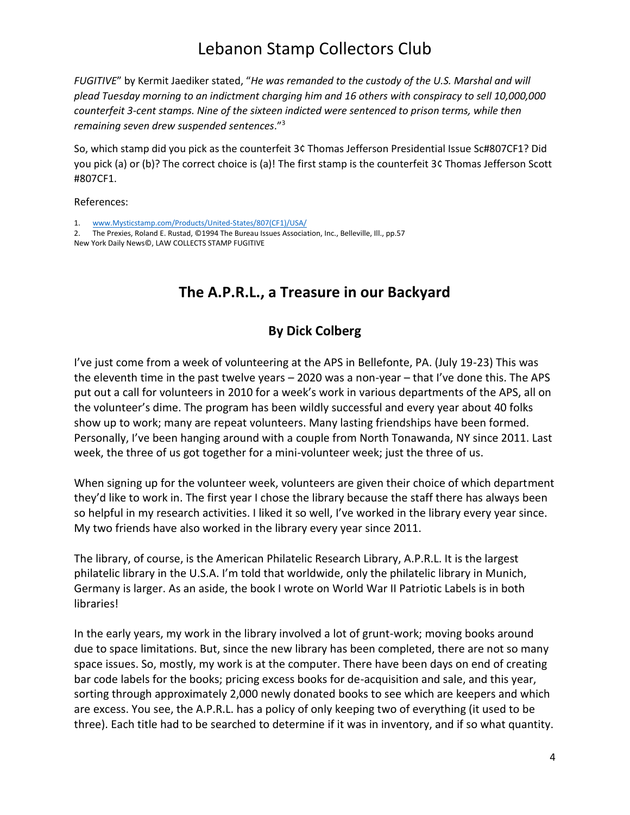*FUGITIVE*" by Kermit Jaediker stated, "*He was remanded to the custody of the U.S. Marshal and will plead Tuesday morning to an indictment charging him and 16 others with conspiracy to sell 10,000,000 counterfeit 3-cent stamps. Nine of the sixteen indicted were sentenced to prison terms, while then remaining seven drew suspended sentences*." 3

So, which stamp did you pick as the counterfeit 3¢ Thomas Jefferson Presidential Issue Sc#807CF1? Did you pick (a) or (b)? The correct choice is (a)! The first stamp is the counterfeit 3¢ Thomas Jefferson Scott #807CF1.

References:

1. [www.Mysticstamp.com/Products/United-States/807\(CF1\)/USA/](http://www.mysticstamp.com/Products/United-States/807(CF1)/USA/)

2. The Prexies, Roland E. Rustad, ©1994 The Bureau Issues Association, Inc., Belleville, Ill., pp.57 New York Daily News©, LAW COLLECTS STAMP FUGITIVE

# **The A.P.R.L., a Treasure in our Backyard**

## **By Dick Colberg**

I've just come from a week of volunteering at the APS in Bellefonte, PA. (July 19-23) This was the eleventh time in the past twelve years – 2020 was a non-year – that I've done this. The APS put out a call for volunteers in 2010 for a week's work in various departments of the APS, all on the volunteer's dime. The program has been wildly successful and every year about 40 folks show up to work; many are repeat volunteers. Many lasting friendships have been formed. Personally, I've been hanging around with a couple from North Tonawanda, NY since 2011. Last week, the three of us got together for a mini-volunteer week; just the three of us.

When signing up for the volunteer week, volunteers are given their choice of which department they'd like to work in. The first year I chose the library because the staff there has always been so helpful in my research activities. I liked it so well, I've worked in the library every year since. My two friends have also worked in the library every year since 2011.

The library, of course, is the American Philatelic Research Library, A.P.R.L. It is the largest philatelic library in the U.S.A. I'm told that worldwide, only the philatelic library in Munich, Germany is larger. As an aside, the book I wrote on World War II Patriotic Labels is in both libraries!

In the early years, my work in the library involved a lot of grunt-work; moving books around due to space limitations. But, since the new library has been completed, there are not so many space issues. So, mostly, my work is at the computer. There have been days on end of creating bar code labels for the books; pricing excess books for de-acquisition and sale, and this year, sorting through approximately 2,000 newly donated books to see which are keepers and which are excess. You see, the A.P.R.L. has a policy of only keeping two of everything (it used to be three). Each title had to be searched to determine if it was in inventory, and if so what quantity.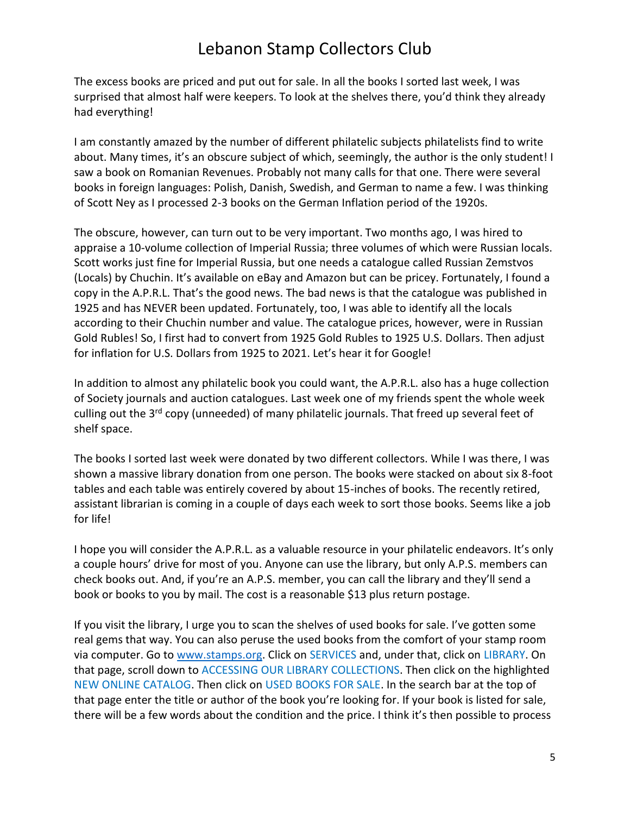The excess books are priced and put out for sale. In all the books I sorted last week, I was surprised that almost half were keepers. To look at the shelves there, you'd think they already had everything!

I am constantly amazed by the number of different philatelic subjects philatelists find to write about. Many times, it's an obscure subject of which, seemingly, the author is the only student! I saw a book on Romanian Revenues. Probably not many calls for that one. There were several books in foreign languages: Polish, Danish, Swedish, and German to name a few. I was thinking of Scott Ney as I processed 2-3 books on the German Inflation period of the 1920s.

The obscure, however, can turn out to be very important. Two months ago, I was hired to appraise a 10-volume collection of Imperial Russia; three volumes of which were Russian locals. Scott works just fine for Imperial Russia, but one needs a catalogue called Russian Zemstvos (Locals) by Chuchin. It's available on eBay and Amazon but can be pricey. Fortunately, I found a copy in the A.P.R.L. That's the good news. The bad news is that the catalogue was published in 1925 and has NEVER been updated. Fortunately, too, I was able to identify all the locals according to their Chuchin number and value. The catalogue prices, however, were in Russian Gold Rubles! So, I first had to convert from 1925 Gold Rubles to 1925 U.S. Dollars. Then adjust for inflation for U.S. Dollars from 1925 to 2021. Let's hear it for Google!

In addition to almost any philatelic book you could want, the A.P.R.L. also has a huge collection of Society journals and auction catalogues. Last week one of my friends spent the whole week culling out the 3<sup>rd</sup> copy (unneeded) of many philatelic journals. That freed up several feet of shelf space.

The books I sorted last week were donated by two different collectors. While I was there, I was shown a massive library donation from one person. The books were stacked on about six 8-foot tables and each table was entirely covered by about 15-inches of books. The recently retired, assistant librarian is coming in a couple of days each week to sort those books. Seems like a job for life!

I hope you will consider the A.P.R.L. as a valuable resource in your philatelic endeavors. It's only a couple hours' drive for most of you. Anyone can use the library, but only A.P.S. members can check books out. And, if you're an A.P.S. member, you can call the library and they'll send a book or books to you by mail. The cost is a reasonable \$13 plus return postage.

If you visit the library, I urge you to scan the shelves of used books for sale. I've gotten some real gems that way. You can also peruse the used books from the comfort of your stamp room via computer. Go to [www.stamps.org.](http://www.stamps.org/) Click on SERVICES and, under that, click on LIBRARY. On that page, scroll down to ACCESSING OUR LIBRARY COLLECTIONS. Then click on the highlighted NEW ONLINE CATALOG. Then click on USED BOOKS FOR SALE. In the search bar at the top of that page enter the title or author of the book you're looking for. If your book is listed for sale, there will be a few words about the condition and the price. I think it's then possible to process